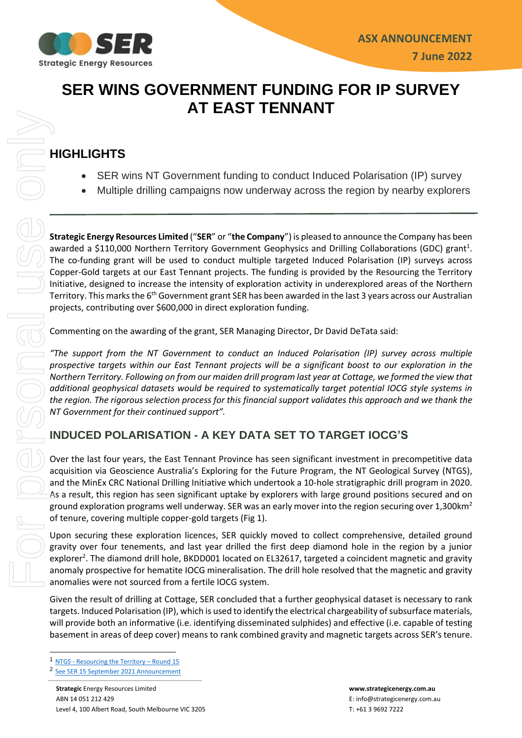

# **SER WINS GOVERNMENT FUNDING FOR IP SURVEY AT EAST TENNANT**

## **HIGHLIGHTS**

- SER wins NT Government funding to conduct Induced Polarisation (IP) survey
- Multiple drilling campaigns now underway across the region by nearby explorers

**Strategic Energy Resources Limited** ("**SER**" or "**the Company**") is pleased to announce the Company has been awarded a \$110,000 Northern Territory Government Geophysics and Drilling Collaborations (GDC) grant<sup>1</sup>. The co-funding grant will be used to conduct multiple targeted Induced Polarisation (IP) surveys across Copper-Gold targets at our East Tennant projects. The funding is provided by the Resourcing the Territory Initiative, designed to increase the intensity of exploration activity in underexplored areas of the Northern Territory. This marks the 6<sup>th</sup> Government grant SER has been awarded in the last 3 years across our Australian projects, contributing over \$600,000 in direct exploration funding.

Commenting on the awarding of the grant, SER Managing Director, Dr David DeTata said:

*"The support from the NT Government to conduct an Induced Polarisation (IP) survey across multiple prospective targets within our East Tennant projects will be a significant boost to our exploration in the Northern Territory. Following on from our maiden drill program last year at Cottage, we formed the view that additional geophysical datasets would be required to systematically target potential IOCG style systems in the region. The rigorous selection process for this financial support validates this approach and we thank the NT Government for their continued support".* 

### **INDUCED POLARISATION - A KEY DATA SET TO TARGET IOCG'S**

Over the last four years, the East Tennant Province has seen significant investment in precompetitive data acquisition via Geoscience Australia's Exploring for the Future Program, the NT Geological Survey (NTGS), and the MinEx CRC National Drilling Initiative which undertook a 10-hole stratigraphic drill program in 2020. As a result, this region has seen significant uptake by explorers with large ground positions secured and on ground exploration programs well underway. SER was an early mover into the region securing over 1,300 km<sup>2</sup> of tenure, covering multiple copper-gold targets (Fig 1).

Upon securing these exploration licences, SER quickly moved to collect comprehensive, detailed ground gravity over four tenements, and last year drilled the first deep diamond hole in the region by a junior explorer<sup>2</sup>. The diamond drill hole, BKDD001 located on EL32617, targeted a coincident magnetic and gravity anomaly prospective for hematite IOCG mineralisation. The drill hole resolved that the magnetic and gravity anomalies were not sourced from a fertile IOCG system.

Given the result of drilling at Cottage, SER concluded that a further geophysical dataset is necessary to rank targets. Induced Polarisation (IP), which is used to identify the electrical chargeability of subsurface materials, will provide both an informative (i.e. identifying disseminated sulphides) and effective (i.e. capable of testing basement in areas of deep cover) means to rank combined gravity and magnetic targets across SER's tenure.

<sup>1</sup> NTGS - [Resourcing the Territory](https://resourcingtheterritory.nt.gov.au/about/gdc) – Round 15

<sup>2</sup> [See SER 15 September 2021 Announcement](https://cdn-api.markitdigital.com/apiman-gateway/ASX/asx-research/1.0/file/2924-02421600-3A575881?access_token=83ff96335c2d45a094df02a206a39ff4)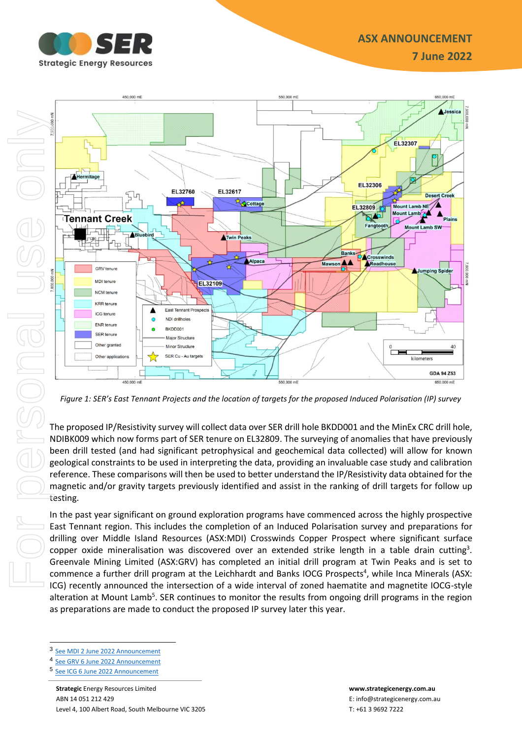**7 June 2022**



*Figure 1: SER's East Tennant Projects and the location of targets for the proposed Induced Polarisation (IP) survey* 

The proposed IP/Resistivity survey will collect data over SER drill hole BKDD001 and the MinEx CRC drill hole, NDIBK009 which now forms part of SER tenure on EL32809. The surveying of anomalies that have previously been drill tested (and had significant petrophysical and geochemical data collected) will allow for known geological constraints to be used in interpreting the data, providing an invaluable case study and calibration reference. These comparisons will then be used to better understand the IP/Resistivity data obtained for the magnetic and/or gravity targets previously identified and assist in the ranking of drill targets for follow up testing.

In the past year significant on ground exploration programs have commenced across the highly prospective East Tennant region. This includes the completion of an Induced Polarisation survey and preparations for drilling over Middle Island Resources (ASX:MDI) Crosswinds Copper Prospect where significant surface copper oxide mineralisation was discovered over an extended strike length in a table drain cutting<sup>3</sup>. Greenvale Mining Limited (ASX:GRV) has completed an initial drill program at Twin Peaks and is set to commence a further drill program at the Leichhardt and Banks IOCG Prospects<sup>4</sup>, while Inca Minerals (ASX: ICG) recently announced the intersection of a wide interval of zoned haematite and magnetite IOCG-style alteration at Mount Lamb<sup>5</sup>. SER continues to monitor the results from ongoing drill programs in the region as preparations are made to conduct the proposed IP survey later this year.

3 [See MDI 2 June 2022](https://cdn-api.markitdigital.com/apiman-gateway/CommSec/commsec-node-api/1.0/event/document/1410-02528014-7J15P9QBRHM8QTBRJ8TB3J76ME/pdf?access_token=0007McEhn7TaMvChAsWkbFlZAXKB) Announcement

<sup>4</sup> [See GRV 6 June 2022](https://cdn-api.markitdigital.com/apiman-gateway/CommSec/commsec-node-api/1.0/event/document/1410-02528778-6T02EG6KCR6HQ9S8PJ5K73BKMC/pdf?access_token=0007McEhn7TaMvChAsWkbFlZAXKB) Announcement

<sup>5</sup> [See ICG 6 June 2022](https://cdn-api.markitdigital.com/apiman-gateway/CommSec/commsec-node-api/1.0/event/document/1410-02528963-4PV631EEMMC4R1RRPHEF9VIQCP/pdf?access_token=0007McEhn7TaMvChAsWkbFlZAXKB) Announcement